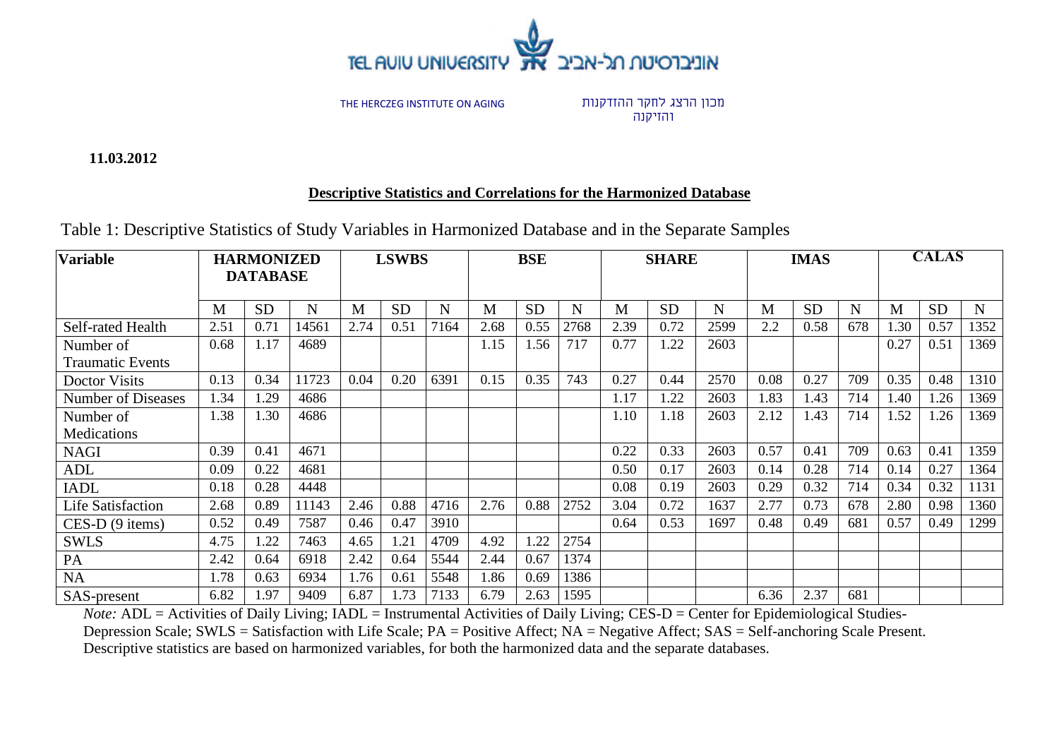

מכון הרצג לחקר ההזדקנות והזיקנה

**11.03.2012**

### **Descriptive Statistics and Correlations for the Harmonized Database**

| Table 1: Descriptive Statistics of Study Variables in Harmonized Database and in the Separate Samples |  |
|-------------------------------------------------------------------------------------------------------|--|
|-------------------------------------------------------------------------------------------------------|--|

| <b>Variable</b>           |      | <b>HARMONIZED</b><br><b>DATABASE</b> |       |      | <b>LSWBS</b> |      |      | <b>BSE</b> |      |      | <b>SHARE</b> |      |      | <b>IMAS</b> |     |      | <b>CALAS</b> |      |
|---------------------------|------|--------------------------------------|-------|------|--------------|------|------|------------|------|------|--------------|------|------|-------------|-----|------|--------------|------|
|                           |      |                                      |       |      |              |      |      |            |      |      |              |      |      |             |     |      |              |      |
|                           | M    | <b>SD</b>                            | N     | M    | <b>SD</b>    | N    | M    | <b>SD</b>  | N    | M    | <b>SD</b>    | N    | M    | <b>SD</b>   | N   | M    | <b>SD</b>    | N    |
| Self-rated Health         | 2.51 | 0.71                                 | 14561 | 2.74 | 0.51         | 7164 | 2.68 | 0.55       | 2768 | 2.39 | 0.72         | 2599 | 2.2  | 0.58        | 678 | 1.30 | 0.57         | 1352 |
| Number of                 | 0.68 | 1.17                                 | 4689  |      |              |      | 1.15 | 1.56       | 717  | 0.77 | 1.22         | 2603 |      |             |     | 0.27 | 0.51         | 1369 |
| <b>Traumatic Events</b>   |      |                                      |       |      |              |      |      |            |      |      |              |      |      |             |     |      |              |      |
| Doctor Visits             | 0.13 | 0.34                                 | 11723 | 0.04 | 0.20         | 6391 | 0.15 | 0.35       | 743  | 0.27 | 0.44         | 2570 | 0.08 | 0.27        | 709 | 0.35 | 0.48         | 1310 |
| <b>Number of Diseases</b> | 1.34 | 1.29                                 | 4686  |      |              |      |      |            |      | 1.17 | 1.22         | 2603 | 1.83 | 1.43        | 714 | 1.40 | 1.26         | 1369 |
| Number of                 | 1.38 | 1.30                                 | 4686  |      |              |      |      |            |      | 1.10 | 1.18         | 2603 | 2.12 | 1.43        | 714 | 1.52 | 1.26         | 1369 |
| Medications               |      |                                      |       |      |              |      |      |            |      |      |              |      |      |             |     |      |              |      |
| <b>NAGI</b>               | 0.39 | 0.41                                 | 4671  |      |              |      |      |            |      | 0.22 | 0.33         | 2603 | 0.57 | 0.41        | 709 | 0.63 | 0.41         | 1359 |
| <b>ADL</b>                | 0.09 | 0.22                                 | 4681  |      |              |      |      |            |      | 0.50 | 0.17         | 2603 | 0.14 | 0.28        | 714 | 0.14 | 0.27         | 1364 |
| <b>IADL</b>               | 0.18 | 0.28                                 | 4448  |      |              |      |      |            |      | 0.08 | 0.19         | 2603 | 0.29 | 0.32        | 714 | 0.34 | 0.32         | 1131 |
| <b>Life Satisfaction</b>  | 2.68 | 0.89                                 | 11143 | 2.46 | 0.88         | 4716 | 2.76 | 0.88       | 2752 | 3.04 | 0.72         | 1637 | 2.77 | 0.73        | 678 | 2.80 | 0.98         | 1360 |
| $CES-D(9 items)$          | 0.52 | 0.49                                 | 7587  | 0.46 | 0.47         | 3910 |      |            |      | 0.64 | 0.53         | 1697 | 0.48 | 0.49        | 681 | 0.57 | 0.49         | 1299 |
| <b>SWLS</b>               | 4.75 | 1.22                                 | 7463  | 4.65 | 1.21         | 4709 | 4.92 | 1.22       | 2754 |      |              |      |      |             |     |      |              |      |
| PA                        | 2.42 | 0.64                                 | 6918  | 2.42 | 0.64         | 5544 | 2.44 | 0.67       | 1374 |      |              |      |      |             |     |      |              |      |
| <b>NA</b>                 | 1.78 | 0.63                                 | 6934  | 1.76 | 0.61         | 5548 | 1.86 | 0.69       | 1386 |      |              |      |      |             |     |      |              |      |
| SAS-present               | 6.82 | 1.97                                 | 9409  | 6.87 | 1.73         | 7133 | 6.79 | 2.63       | 1595 |      |              |      | 6.36 | 2.37        | 681 |      |              |      |

*Note:* ADL = Activities of Daily Living; IADL = Instrumental Activities of Daily Living; CES-D = Center for Epidemiological Studies-Depression Scale; SWLS = Satisfaction with Life Scale; PA = Positive Affect; NA = Negative Affect; SAS = Self-anchoring Scale Present. Descriptive statistics are based on harmonized variables, for both the harmonized data and the separate databases.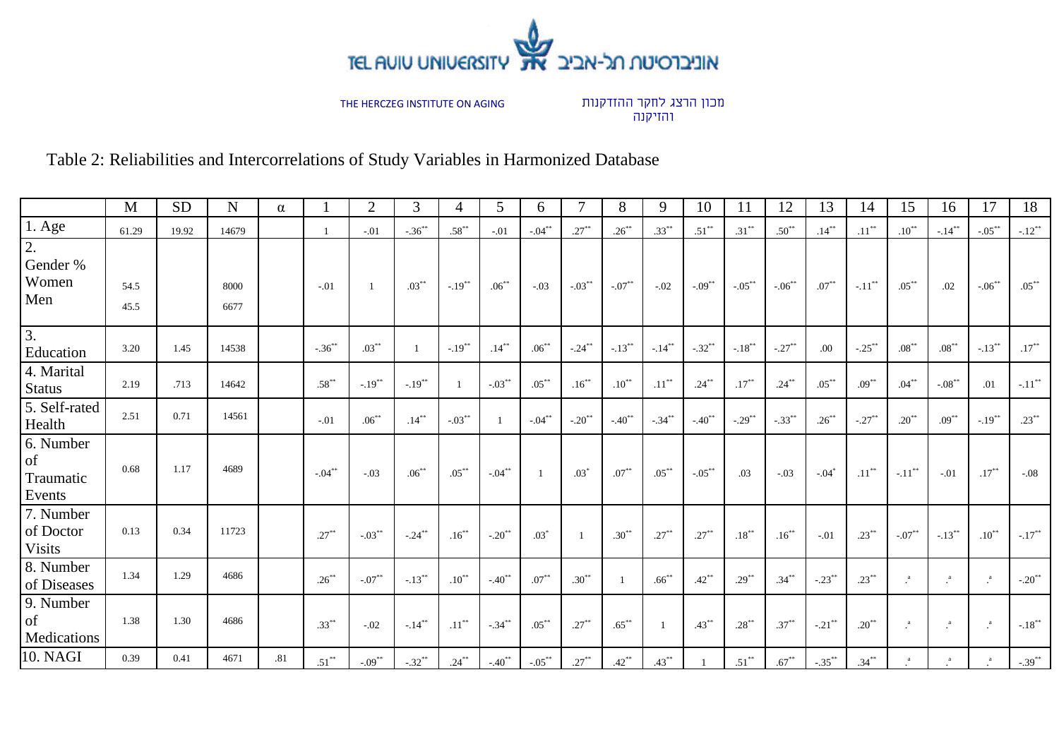

מכון הרצג לחקר ההזדקנות והזיקנה

Table 2: Reliabilities and Intercorrelations of Study Variables in Harmonized Database

|                                         | M            | <b>SD</b> | N            | $\alpha$ |            | $\overline{2}$       | 3           | 4                    | 5                    | 6.        |                      | 8          | 9             | 10                | 11         | 12                  | 13                  | 14                   | 15                   | 16              | 17              | 18                                        |
|-----------------------------------------|--------------|-----------|--------------|----------|------------|----------------------|-------------|----------------------|----------------------|-----------|----------------------|------------|---------------|-------------------|------------|---------------------|---------------------|----------------------|----------------------|-----------------|-----------------|-------------------------------------------|
| $1. \text{Age}$                         | 61.29        | 19.92     | 14679        |          |            | $-.01$               | $-.36^{**}$ | $.58***$             | $-.01$               | $-.04***$ | $.27***$             | $.26***$   | $.33***$      | $.51***$          | $.31***$   | $.50^{**}$          | $.14***$            | $.11$ $^{**}$        | $.10^{**}$           | $-14^{**}$      | $-05***$        | $-.12$ **                                 |
| 2.<br>Gender %<br>Women<br>Men          | 54.5<br>45.5 |           | 8000<br>6677 |          | $-.01$     | -1                   | $.03***$    | $-.19$ <sup>**</sup> | $.06^{**}$           | $-.03$    | $-03***$             | $-07**$    | $-.02$        | $-.09***$         | $-.05***$  | $-06$ <sup>**</sup> | $.07***$            | $-.11$ <sup>**</sup> | $.05***$             | .02             | $-06^{**}$      | $.05***$                                  |
| $\overline{3}$ .<br>Education           | 3.20         | 1.45      | 14538        |          | $-36^{**}$ | $.03***$             |             | $-.19**$             | $.14***$             | $.06***$  | $-24**$              | $-.13***$  | $-.14***$     | $-.32**$          | $-.18***$  | $-.27***$           | .00                 | $-.25***$            | $.08***$             | $.08***$        | $-.13***$       | $.17***$                                  |
| 4. Marital<br><b>Status</b>             | 2.19         | .713      | 14642        |          | $.58***$   | $-.19$ <sup>**</sup> | $-19^{**}$  |                      | $-.03***$            | $.05***$  | $.16***$             | $.10^{**}$ | $.11$ $^{**}$ | $.24***$          | $.17***$   | $.24***$            | $.05***$            | $.09***$             | $.04***$             | $-.08***$       | .01             | $\text{-}.11$ $\hspace{0.1cm}^{\ast\ast}$ |
| 5. Self-rated<br>Health                 | 2.51         | 0.71      | 14561        |          | $-.01$     | $.06***$             | $.14***$    | $-.03***$            |                      | $-04**$   | $-.20$ <sup>**</sup> | $-40^{**}$ | $-.34***$     | $-.40^{\ast\ast}$ | $-29^{**}$ | $-.33***$           | $.26***$            | $-.27$ <sup>**</sup> | $.20^{**}$           | $.09***$        | $-.19***$       | $.23***$                                  |
| 6. Number<br>of<br>Traumatic<br>Events  | 0.68         | 1.17      | 4689         |          | $-.04***$  | $-.03$               | $.06***$    | $.05***$             | $-.04$ **            | - 1       | $.03*$               | $.07***$   | $.05***$      | $-.05***$         | .03        | $-.03$              | $-.04$ <sup>*</sup> | $.11***$             | $-.11$ <sup>**</sup> | $-.01$          | $.17***$        | $-.08$                                    |
| 7. Number<br>of Doctor<br><b>Visits</b> | 0.13         | 0.34      | 11723        |          | $.27***$   | $-.03***$            | $-0.24$ **  | $.16***$             | $-.20$ <sup>**</sup> | $.03*$    |                      | $.30**$    | $.27***$      | $.27***$          | $.18***$   | $.16***$            | $-.01$              | $.23***$             | $-.07**$             | $-.13***$       | $.10***$        | $-.17***$                                 |
| 8. Number<br>of Diseases                | 1.34         | 1.29      | 4686         |          | $.26***$   | $-.07**$             | $-.13***$   | $.10***$             | $-40^{**}$           | $.07***$  | $.30***$             |            | $.66***$      | $.42***$          | $.29***$   | $.34***$            | $-.23***$           | $.23***$             | $\cdot^a$            | $\cdot^{\rm a}$ | $\cdot^a$       | $-.20**$                                  |
| 9. Number<br>of<br>Medications          | 1.38         | 1.30      | 4686         |          | $.33***$   | $-.02$               | $-.14***$   | $.11***$             | $-34^{**}$           | $.05***$  | $.27***$             | $.65***$   |               | $.43***$          | $.28***$   | $.37***$            | $-.21$ **           | $.20***$             | $\cdot^a$            | $\mathbf{a}$    | $\cdot^{\rm a}$ | $-.18***$                                 |
| 10. NAGI                                | 0.39         | 0.41      | 4671         | .81      | $.51***$   | $-.09**$             | $-.32***$   | $.24***$             | $-40^{**}$           | $-05***$  | $.27***$             | $.42***$   | $.43***$      |                   | $.51***$   | $.67***$            | $-.35***$           | $.34***$             | a                    | a               | $\cdot^a$       | $-.39***$                                 |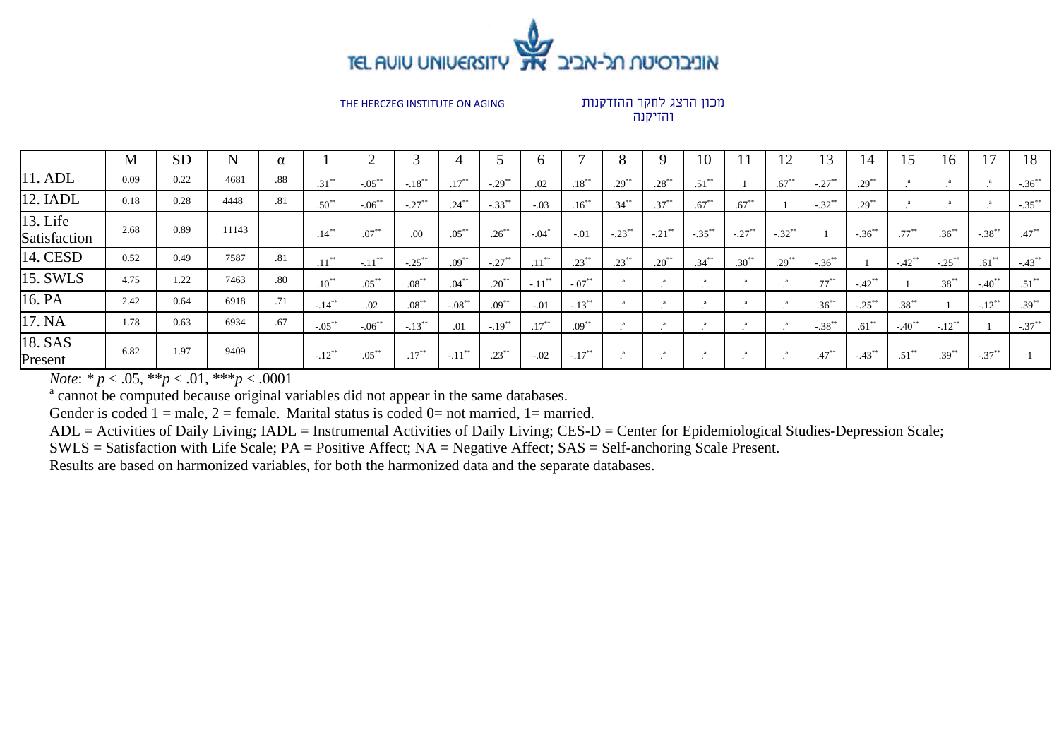

מכון הרצג לחקר ההזדקנות והזיקנה

|                          | M    | <b>SD</b> | N     | $\alpha$ |                     |             |            |           |                      |                     |            |                      |                      | 10        |           | $\overline{L}$       | 13                   | 14                   | 15         | 16                   |                      | 18         |
|--------------------------|------|-----------|-------|----------|---------------------|-------------|------------|-----------|----------------------|---------------------|------------|----------------------|----------------------|-----------|-----------|----------------------|----------------------|----------------------|------------|----------------------|----------------------|------------|
| 11. ADL                  | 0.09 | 0.22      | 4681  | .88      | $.31***$            | $-.05***$   | $-.18***$  | $.17***$  | $-.29$ <sup>**</sup> | .02                 | $.18***$   | $.29***$             | $.28***$             | $.51***$  |           | $.67***$             | $-.27***$            | $.29***$             |            |                      | $\cdot$              | $-.36***$  |
| 12. IADL                 | 0.18 | 0.28      | 4448  | .81      | $.50^{**}$          | $-.06***$   | $-.27***$  | $.24***$  | $-.33***$            | $-.03$              | $.16***$   | $.34***$             | $.37***$             | $.67***$  | $.67***$  |                      | $-.32$ <sup>**</sup> | $.29***$             |            |                      |                      | $-.35***$  |
| 13. Life<br>Satisfaction | 2.68 | 0.89      | 11143 |          | $.14***$            | $.07***$    | .00        | $.05***$  | $.26***$             | $-.04$ <sup>*</sup> | $-.01$     | $-.23$ <sup>**</sup> | $-.21$ <sup>**</sup> | $-.35***$ | $-.27***$ | $-.32$ <sup>**</sup> |                      | $-.36^{**}$          | $.77***$   | $.36***$             | $-.38***$            | $47^{**}$  |
| 14. CESD                 | 0.52 | 0.49      | 7587  | .81      | $.11***$            | $-.11***$   | $-.25***$  | $.09***$  | $-.27$ <sup>**</sup> | $.11***$            | $.23***$   | $.23***$             | $.20***$             | $.34***$  | $.30**$   | $.29***$             | $-.36***$            |                      | $-42^{**}$ | $-.25***$            | $.61***$             | $-43^{**}$ |
| 15. SWLS                 | 4.75 | 1.22      | 7463  | .80      | $.10$ <sup>**</sup> | $.05***$    | $.08^{**}$ | $.04***$  | $.20^{**}$           | $-11^{**}$          | $-.07**$   |                      |                      |           |           |                      | $.77***$             | $-.42$ <sup>**</sup> |            | $.38***$             | $-40^{**}$           | $.51***$   |
| 16. PA                   | 2.42 | 0.64      | 6918  | .71      | $-.14***$           | .02         | $.08***$   | $-.08***$ | $.09***$             | $-.01$              | $-13^{**}$ |                      |                      |           |           |                      | $.36***$             | $-.25$ **            | $.38***$   |                      | $-.12$ <sup>**</sup> | $.39***$   |
| 17. NA                   | 1.78 | 0.63      | 6934  | .67      | $-.05***$           | $-.06^{**}$ | $-.13***$  | .01       | $-.19$ <sup>**</sup> | $.17***$            | $.09***$   |                      |                      |           |           |                      | $-.38***$            | $.61***$             | $-40^{**}$ | $-.12$ <sup>**</sup> |                      | $-.37***$  |
| 18. SAS<br>Present       | 6.82 | 1.97      | 9409  |          | $-.12***$           | $.05***$    | $.17***$   | $-.11***$ | $.23***$             | $-.02$              | $-.17***$  |                      |                      | $\sim$    |           |                      | $.47***$             | $-43^{**}$           | $.51***$   | $.39***$             | $-.37***$            |            |

*Note*: *\* p* < .05, \*\**p* < .01, \*\*\**p* < .0001

<sup>a</sup> cannot be computed because original variables did not appear in the same databases.

Gender is coded  $1 =$  male,  $2 =$  female. Marital status is coded  $0 =$  not married,  $1 =$  married.

ADL = Activities of Daily Living; IADL = Instrumental Activities of Daily Living; CES-D = Center for Epidemiological Studies-Depression Scale;

SWLS = Satisfaction with Life Scale; PA = Positive Affect; NA = Negative Affect; SAS = Self-anchoring Scale Present.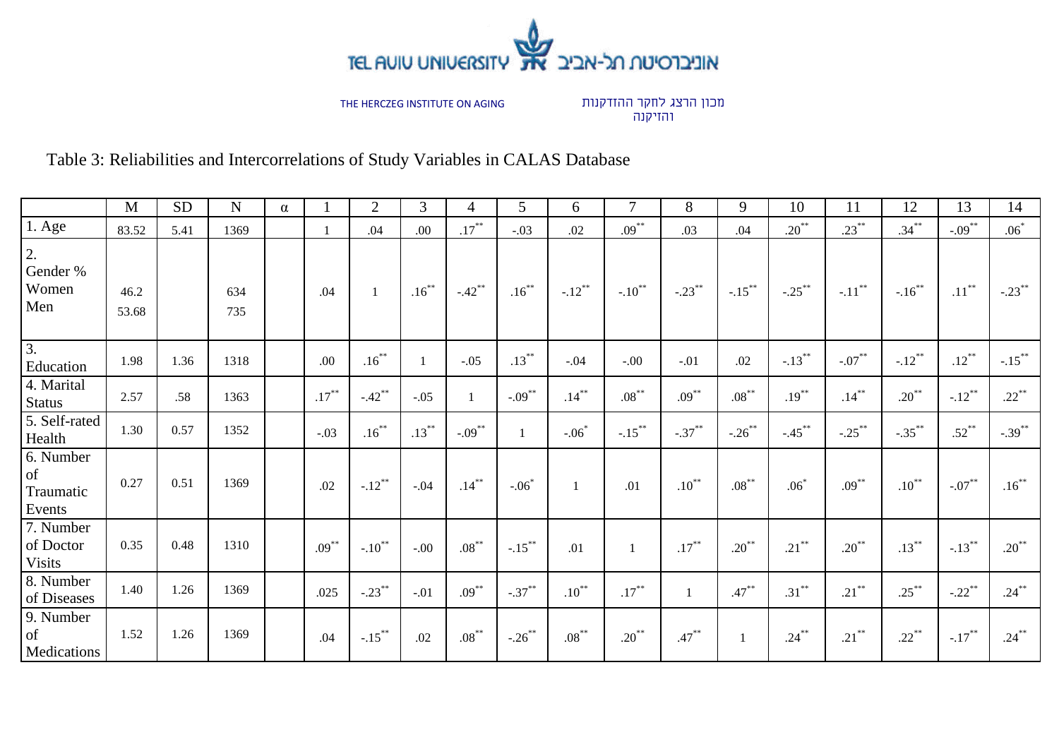

מכון הרצג לחקר ההזדקנות והזיקנה

Table 3: Reliabilities and Intercorrelations of Study Variables in CALAS Database

|                                         | M             | <b>SD</b> | $\mathbf N$ | $\alpha$ |          | $\overline{2}$       | 3        | 4         | 5         | 6         |                  | 8            | 9         | 10        | 11                   | 12         | 13                   | 14        |
|-----------------------------------------|---------------|-----------|-------------|----------|----------|----------------------|----------|-----------|-----------|-----------|------------------|--------------|-----------|-----------|----------------------|------------|----------------------|-----------|
| $1. \text{Age}$                         | 83.52         | 5.41      | 1369        |          |          | .04                  | .00      | $.17***$  | $-.03$    | .02       | $.09***$         | .03          | .04       | $.20***$  | $.23***$             | $.34***$   | $-.09***$            | $.06*$    |
| 2.<br>Gender %<br>Women<br>Men          | 46.2<br>53.68 |           | 634<br>735  |          | .04      |                      | $.16***$ | $-.42***$ | $.16***$  | $-.12***$ | $-.10***$        | $-.23***$    | $-.15***$ | $-.25***$ | $-.11$ <sup>**</sup> | $-.16***$  | $.11***$             | $-.23***$ |
| $\overline{3}$ .<br>Education           | 1.98          | 1.36      | 1318        |          | .00      | $.16***$             |          | $-.05$    | $.13***$  | $-.04$    | $-.00$           | $-.01$       | .02       | $-.13***$ | $-.07***$            | $-.12***$  | $.12***$             | $-.15***$ |
| 4. Marital<br><b>Status</b>             | 2.57          | .58       | 1363        |          | $.17***$ | $-.42***$            | $-.05$   |           | $-.09***$ | $.14***$  | $.08^{\ast\ast}$ | $.09***$     | $.08***$  | $.19***$  | $.14***$             | $.20***$   | $-.12***$            | $.22***$  |
| 5. Self-rated<br>Health                 | 1.30          | 0.57      | 1352        |          | $-.03$   | $.16***$             | $.13***$ | $-.09***$ | -1        | $-.06*$   | $-.15***$        | $-.37***$    | $-.26***$ | $-.45***$ | $-.25***$            | $-.35***$  | $.52***$             | $-.39***$ |
| 6. Number<br>of<br>Traumatic<br>Events  | 0.27          | 0.51      | 1369        |          | .02      | $-.12***$            | $-.04$   | $.14***$  | $-.06*$   |           | .01              | $.10^{**}$   | $.08***$  | $.06*$    | $.09***$             | $.10^{**}$ | $-.07***$            | $.16***$  |
| 7. Number<br>of Doctor<br><b>Visits</b> | 0.35          | 0.48      | 1310        |          | $.09***$ | $-.10$ <sup>**</sup> | $-.00$   | $.08***$  | $-.15***$ | .01       |                  | $.17***$     | $.20***$  | $.21***$  | $.20***$             | $.13***$   | $-.13***$            | $.20***$  |
| 8. Number<br>of Diseases                | 1.40          | 1.26      | 1369        |          | .025     | $-.23***$            | $-.01$   | $.09***$  | $-.37***$ | $.10***$  | $.17***$         | $\mathbf{1}$ | $.47***$  | $.31***$  | $.21***$             | $.25***$   | $-.22$ <sup>**</sup> | $.24***$  |
| 9. Number<br>of<br>Medications          | 1.52          | 1.26      | 1369        |          | .04      | $-.15***$            | .02      | $.08***$  | $-.26***$ | $.08***$  | $.20***$         | $.47***$     |           | $.24***$  | $.21***$             | $.22***$   | $-.17***$            | $.24***$  |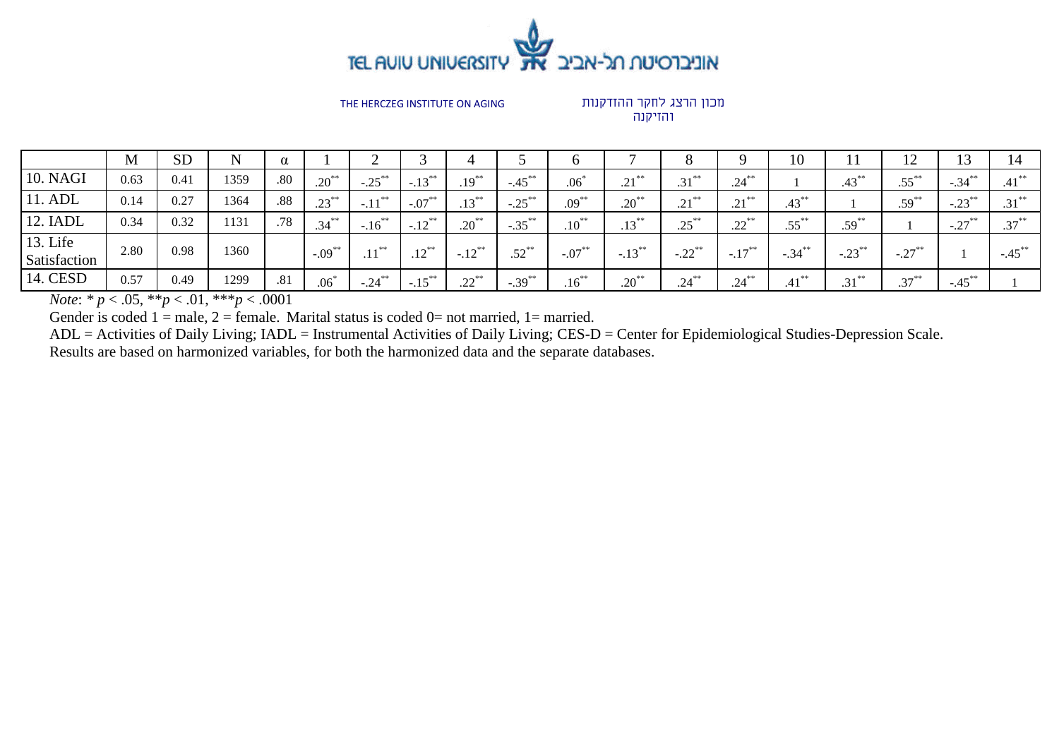

### מכון הרצג לחקר ההזדקנות והזיקנה

|                          | M    | <b>SD</b> |      | $\alpha$ |           |           |                      |                      |                      |                  |            |                      |                              | 10             |           | ┸ <del></del> |           | 14        |
|--------------------------|------|-----------|------|----------|-----------|-----------|----------------------|----------------------|----------------------|------------------|------------|----------------------|------------------------------|----------------|-----------|---------------|-----------|-----------|
| <b>10. NAGI</b>          | 0.63 | 0.41      | 1359 | .80      | $.20***$  | $-.25***$ | $-.13$ <sup>**</sup> | $.19***$             | $-.45$ <sup>**</sup> | .06 <sup>2</sup> | $.21***$   | $.31***$             | $.24***$                     |                | $.43***$  | $.55***$      | $-.34***$ | $.41***$  |
| 11. ADL                  | 0.14 | 0.27      | 1364 | .88      | $.23***$  | $-.11***$ | $-.07***$            | $.13***$             | $-.25***$            | $.09***$         | $.20^{**}$ | $.21***$             | $\bigcap$<br>$\cdot$ 4 $\pm$ | $.43***$       |           | $.59***$      | $-.23$ ** | $.31***$  |
| 12. IADL                 | 0.34 | 0.32      | 1131 | .78      | $.34***$  | $-.16***$ | $-.12***$            | $.20^{**}$           | $-.35***$            | $.10^{**}$       | $.13***$   | $.25***$             | $22$ <sup>**</sup><br>ے ۔    | $.55***$       | $.59***$  |               | $-.27***$ | $.37***$  |
| 13. Life<br>Satisfaction | 2.80 | 0.98      | 1360 |          | $-.09***$ | . 米米      | $12^{**}$<br>.14     | $-.12$ <sup>**</sup> | $.52$ <sup>**</sup>  | $-.07***$        | $-.13***$  | $-.22$ <sup>**</sup> | $-.17***$                    | $-.34***$      | $-.23***$ | $-.27***$     |           | $-.45***$ |
| 14. CESD                 | 0.57 | 0.49      | 1299 | .81      | .06       | $-.24$ ** | $-.15***$            | $22^*$<br>.44        | $-.39***$            | $.16***$         | $.20^{**}$ | $.24***$             | $.24***$                     | $1.1$ **<br>.4 | $31***$   | $.37***$      | $-.45***$ |           |

*Note*: *\* p* < .05, \*\**p* < .01, \*\*\**p* < .0001

Gender is coded  $1 =$  male,  $2 =$  female. Marital status is coded  $0 =$  not married,  $1 =$  married.

ADL = Activities of Daily Living; IADL = Instrumental Activities of Daily Living; CES-D = Center for Epidemiological Studies-Depression Scale.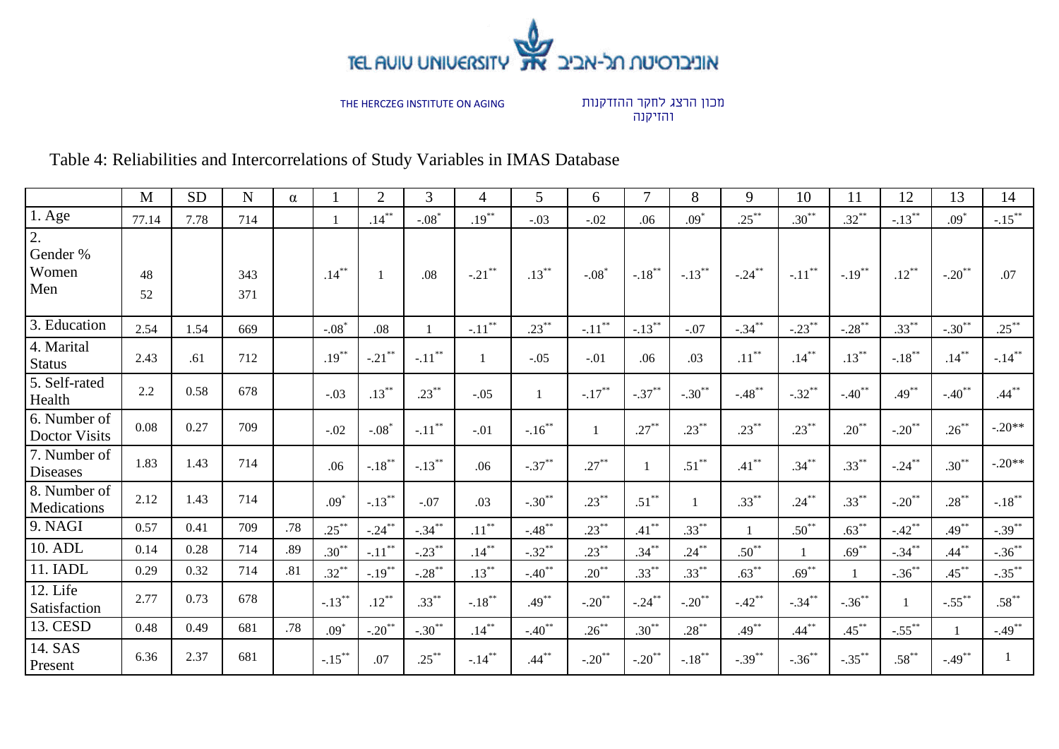

מכון הרצג לחקר ההזדקנות והזיקנה

# Table 4: Reliabilities and Intercorrelations of Study Variables in IMAS Database

|                                              | M        | <b>SD</b> | ${\bf N}$  | $\alpha$ |           | $\overline{2}$       | 3         | 4                    | 5            | 6                    | $\overline{7}$       | 8              | 9          | 10        | 11         | 12                   | 13                   | 14        |
|----------------------------------------------|----------|-----------|------------|----------|-----------|----------------------|-----------|----------------------|--------------|----------------------|----------------------|----------------|------------|-----------|------------|----------------------|----------------------|-----------|
| $1.$ Age                                     | 77.14    | 7.78      | 714        |          |           | $.14***$             | $-.08*$   | $.19***$             | $-.03$       | $-.02$               | .06                  | $.09*$         | $.25***$   | $.30***$  | $.32***$   | $-.13***$            | $.09*$               | $-.15***$ |
| $\overline{2}$ .<br>Gender %<br>Women<br>Men | 48<br>52 |           | 343<br>371 |          | $.14***$  |                      | .08       | $-.21$ **            | $.13***$     | $-.08*$              | $-.18***$            | $-.13***$      | $-.24***$  | $-.11***$ | $-.19***$  | $.12***$             | $-.20$ <sup>**</sup> | .07       |
| 3. Education                                 | 2.54     | 1.54      | 669        |          | $-.08*$   | .08                  |           | $-.11$ <sup>**</sup> | $.23***$     | $-.11***$            | $-13^{**}$           | $-.07$         | $-.34***$  | $-.23***$ | $-.28***$  | $.33***$             | $-.30$ <sup>**</sup> | $.25***$  |
| 4. Marital<br><b>Status</b>                  | 2.43     | .61       | 712        |          | $.19***$  | $-.21$ **            | $-.11***$ |                      | $-.05$       | $-.01$               | .06                  | .03            | $.11***$   | $.14***$  | $.13***$   | $-.18***$            | $.14***$             | $-.14***$ |
| 5. Self-rated<br>Health                      | 2.2      | 0.58      | 678        |          | $-.03$    | $.13***$             | $.23***$  | $-.05$               | $\mathbf{1}$ | $-.17***$            | $-.37***$            | $-.30***$      | $-.48$ **  | $-.32***$ | $-.40***$  | $.49***$             | $-.40$ <sup>**</sup> | $.44***$  |
| 6. Number of<br><b>Doctor Visits</b>         | 0.08     | 0.27      | 709        |          | $-.02$    | $-.08*$              | $-.11***$ | $-.01$               | $-.16***$    |                      | $.27***$             | $.23***$       | $.23***$   | $.23***$  | $.20***$   | $-.20***$            | $.26***$             | $-.20**$  |
| 7. Number of<br>Diseases                     | 1.83     | 1.43      | 714        |          | .06       | $-.18$ <sup>**</sup> | $-.13***$ | .06                  | $-.37***$    | $.27***$             | 1                    | $.51***$       | $.41***$   | $.34***$  | $.33***$   | $-.24***$            | $.30***$             | $-.20**$  |
| 8. Number of<br>Medications                  | 2.12     | 1.43      | 714        |          | $.09*$    | $-.13***$            | $-.07$    | .03                  | $-.30***$    | $.23***$             | $.51***$             | $\overline{1}$ | $.33***$   | $.24***$  | $.33***$   | $-.20$ **            | $.28***$             | $-.18***$ |
| 9. NAGI                                      | 0.57     | 0.41      | 709        | .78      | $.25***$  | $-.24***$            | $-.34***$ | $.11***$             | $-.48***$    | $.23***$             | $.41***$             | $.33***$       |            | $.50***$  | $.63^{**}$ | $-.42$ <sup>**</sup> | $.49***$             | $-.39***$ |
| 10. ADL                                      | 0.14     | 0.28      | 714        | .89      | $.30***$  | $-.11***$            | $-23$     | $.14***$             | $-.32***$    | $.23***$             | $.34***$             | $.24***$       | $.50^{**}$ |           | $.69***$   | $-34$                | $.44***$             | $-.36***$ |
| 11. IADL                                     | 0.29     | 0.32      | 714        | .81      | $.32***$  | $-19^{**}$           | $-.28***$ | $.13***$             | $-40^{**}$   | $.20***$             | $.33***$             | $.33^{**}$     | $.63^{**}$ | $.69***$  |            | $-.36***$            | $.45***$             | $-.35***$ |
| 12. Life<br>Satisfaction                     | 2.77     | 0.73      | 678        |          | $-.13***$ | $.12***$             | $.33***$  | $-.18***$            | $.49***$     | $-.20$ <sup>**</sup> | $-.24***$            | $-.20***$      | $-.42**$   | $-.34***$ | $-.36***$  | $\overline{1}$       | $-.55$ <sup>**</sup> | $.58***$  |
| 13. CESD                                     | 0.48     | 0.49      | 681        | .78      | $.09*$    | $-.20***$            | $-.30***$ | $.14***$             | $-.40***$    | $.26***$             | $.30***$             | $.28***$       | $.49***$   | $.44***$  | $.45***$   | $-55$ <sup>**</sup>  |                      | $-.49***$ |
| 14. SAS<br>Present                           | 6.36     | 2.37      | 681        |          | $-.15***$ | .07                  | $.25***$  | $-.14***$            | $.44***$     | $-.20***$            | $-.20$ <sup>**</sup> | $-.18***$      | $-.39***$  | $-.36***$ | $-.35***$  | $.58***$             | $-.49$ <sup>**</sup> |           |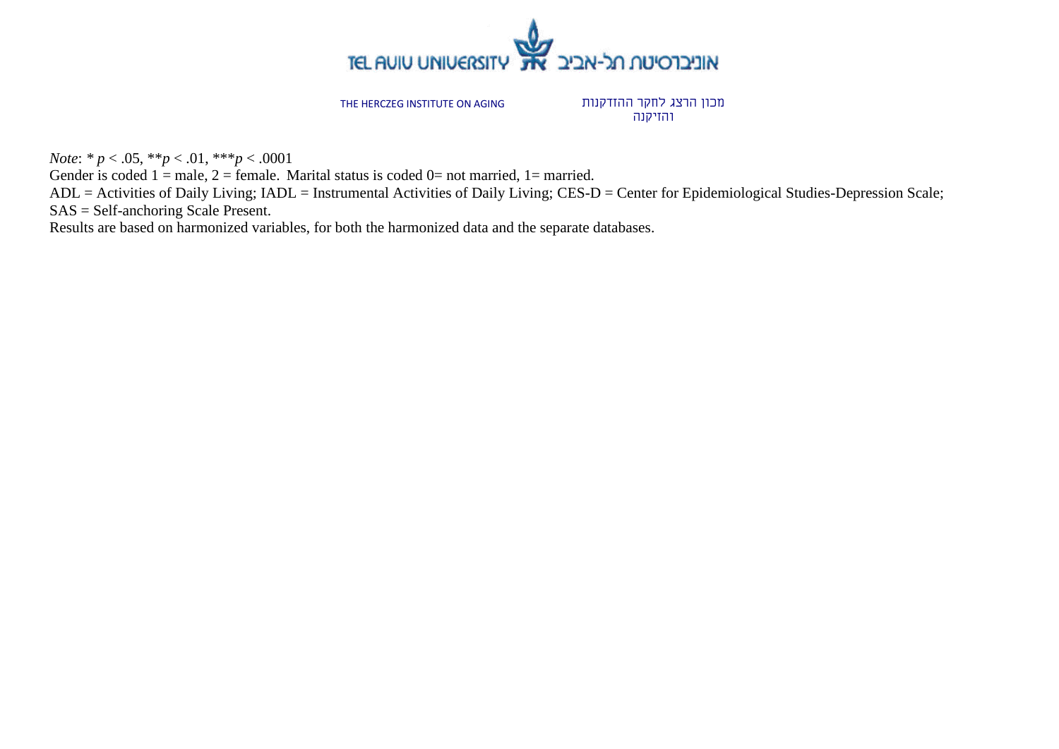

מכון הרצג לחקר ההזדקנות והזיקנה

*Note*: *\* p* < .05, \*\**p* < .01, \*\*\**p* < .0001

Gender is coded  $1 =$  male,  $2 =$  female. Marital status is coded  $0 =$  not married,  $1 =$  married.

ADL = Activities of Daily Living; IADL = Instrumental Activities of Daily Living; CES-D = Center for Epidemiological Studies-Depression Scale; SAS = Self-anchoring Scale Present.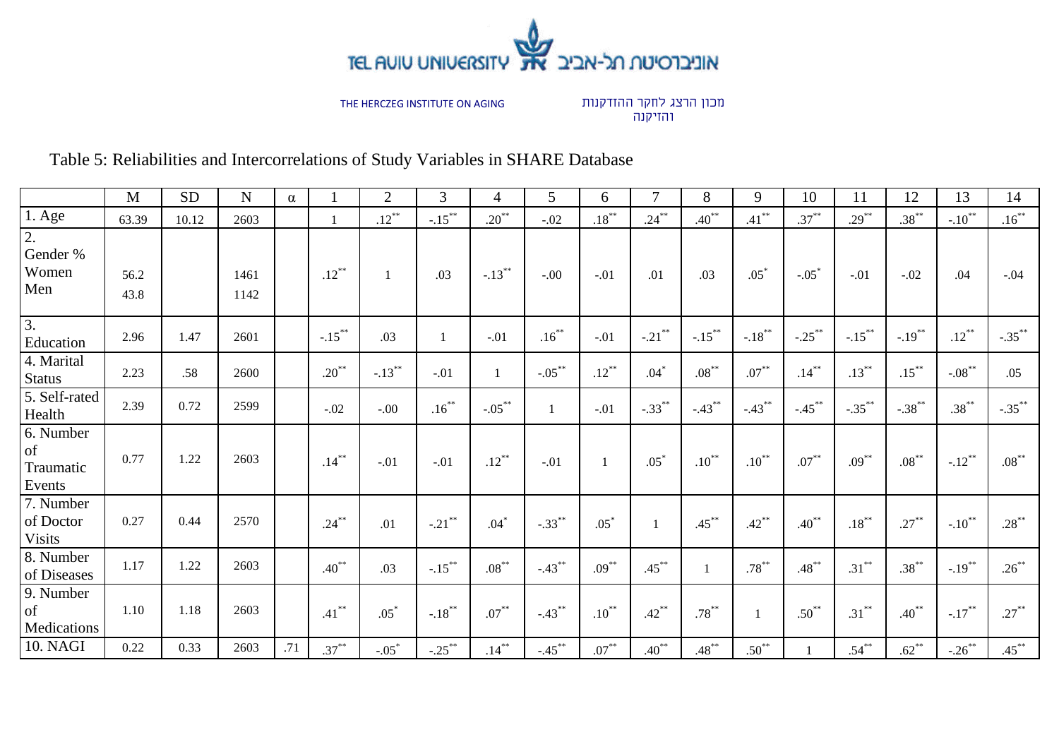

מכון הרצג לחקר ההזדקנות והזיקנה

# Table 5: Reliabilities and Intercorrelations of Study Variables in SHARE Database

|                                                   | $\mathbf M$  | <b>SD</b> | $\mathbf N$  | $\alpha$ |            | $\mathbf{2}$ | 3            | 4         | 5            | 6            | $\overline{7}$ | 8                | 9            | 10                   | 11        | 12        | 13                   | 14        |
|---------------------------------------------------|--------------|-----------|--------------|----------|------------|--------------|--------------|-----------|--------------|--------------|----------------|------------------|--------------|----------------------|-----------|-----------|----------------------|-----------|
| $1.$ Age                                          | 63.39        | 10.12     | 2603         |          |            | $.12***$     | $-.15***$    | $.20***$  | $-.02$       | $.18***$     | $.24***$       | $.40^{**}$       | $.41***$     | $.37***$             | $.29***$  | $.38***$  | $-.10$ <sup>**</sup> | $.16***$  |
| 2.<br>Gender %<br>Women<br>Men                    | 56.2<br>43.8 |           | 1461<br>1142 |          | $.12***$   | $\mathbf{1}$ | .03          | $-.13***$ | $-.00$       | $-.01$       | .01            | .03              | $.05*$       | $-.05*$              | $-.01$    | $-.02$    | .04                  | $-.04$    |
| $\overline{3}$ .<br>Education                     | 2.96         | 1.47      | 2601         |          | $-.15***$  | .03          | $\mathbf{1}$ | $-.01$    | $.16***$     | $-.01$       | $-.21$ **      | $-.15***$        | $-.18***$    | $-.25$ <sup>**</sup> | $-.15***$ | $-.19***$ | $.12***$             | $-.35***$ |
| 4. Marital<br><b>Status</b>                       | 2.23         | .58       | 2600         |          | $.20***$   | $-.13***$    | $-.01$       |           | $-.05***$    | $.12***$     | $.04*$         | $.08^{\ast\ast}$ | $.07^{**}$   | $.14***$             | $.13***$  | $.15***$  | $-.08***$            | .05       |
| 5. Self-rated<br>Health                           | 2.39         | 0.72      | 2599         |          | $-.02$     | $-.00$       | $.16***$     | $-.05***$ | $\mathbf{1}$ | $-.01$       | $-.33***$      | $-.43***$        | $-.43***$    | $-.45***$            | $-.35***$ | $-.38***$ | $.38***$             | $-.35***$ |
| 6. Number<br><sub>of</sub><br>Traumatic<br>Events | 0.77         | 1.22      | 2603         |          | $.14***$   | $-.01$       | $-.01$       | $.12***$  | $-.01$       | $\mathbf{1}$ | $.05*$         | $.10***$         | $.10***$     | $.07***$             | $.09***$  | $.08***$  | $-.12$ <sup>**</sup> | $.08***$  |
| 7. Number<br>of Doctor<br><b>Visits</b>           | 0.27         | 0.44      | 2570         |          | $.24***$   | .01          | $-.21$ **    | $.04*$    | $-.33***$    | $.05*$       | $\mathbf{1}$   | $.45***$         | $.42***$     | $.40^{**}$           | $.18***$  | $.27***$  | $-.10$ <sup>**</sup> | $.28***$  |
| 8. Number<br>of Diseases                          | 1.17         | 1.22      | 2603         |          | $.40^{**}$ | .03          | $-.15***$    | $.08***$  | $-.43***$    | $.09***$     | $.45***$       | 1                | $.78***$     | $.48***$             | $.31***$  | $.38***$  | $-.19***$            | $.26***$  |
| 9. Number<br><sub>of</sub><br>Medications         | 1.10         | 1.18      | 2603         |          | $.41***$   | $.05*$       | $-.18***$    | $.07***$  | $-.43***$    | $.10***$     | $.42***$       | $.78***$         | $\mathbf{1}$ | $.50***$             | $.31***$  | $.40***$  | $-.17***$            | $.27***$  |
| 10. NAGI                                          | 0.22         | 0.33      | 2603         | .71      | $.37***$   | $-.05*$      | $-.25***$    | $.14***$  | $-.45***$    | $.07***$     | $.40***$       | $.48***$         | $.50^{**}$   |                      | $.54***$  | $.62***$  | $-.26***$            | $.45***$  |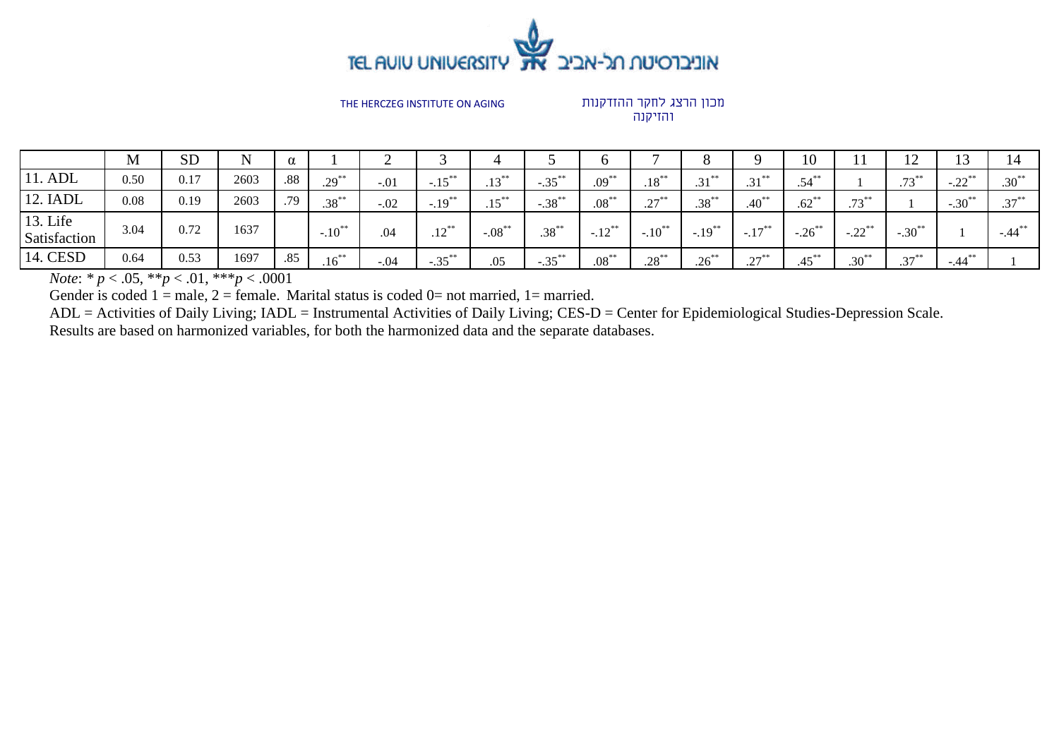

מכון הרצג לחקר ההזדקנות והזיקנה

|                          | M    | <b>SD</b> | $\mathbf N$ |     |                      |        |                      |                |           |            |                      | O               | 0                         | 10                   |                      | ∸                    |                      |            |
|--------------------------|------|-----------|-------------|-----|----------------------|--------|----------------------|----------------|-----------|------------|----------------------|-----------------|---------------------------|----------------------|----------------------|----------------------|----------------------|------------|
| 11. ADL                  | 0.50 | 0.17      | 2603        | .88 | $.29***$             | $-.01$ | $-.15***$            | $12^{**}$<br>. | $-.35***$ | $.09***$   | $.18***$             | $21$ **<br>ا د. | $21$ **<br>ل ک.           | $.54***$             |                      | $.73***$             | $-22^{**}$<br>ىدىن   | $.30^{**}$ |
| 12. IADL                 | 0.08 | 0.19      | 2603        | .79 | $.38***$             | $-.02$ | $-.19$ <sup>**</sup> | $15^{**}$      | $-.38***$ | $.08^{**}$ | $27***$<br>ا گە      | $.38***$        | $.40^{**}$                | $.62***$             | $72***$<br>.13       |                      | $-.30$ <sup>**</sup> | $.37***$   |
| 13. Life<br>Satisfaction | 3.04 | 0.72      | 1637        |     | $-.10$ <sup>**</sup> | .04    | $12^{**}$<br>.14     | $-.08$ **      | $.38***$  | $-.12***$  | $-.10$ <sup>**</sup> | $-.19***$       | $-.17***$                 | $-.26$ <sup>**</sup> | $-.22$ <sup>**</sup> | $-.30^{**}$          |                      | $-.44***$  |
| 14. CESD                 | 0.64 | 0.53      | 1697        | .85 | $.16***$             | $-.04$ | $-.35***$            | .05            | $-.35***$ | $.08***$   | $.28***$             | $.26***$        | $27$ <sup>**</sup><br>، پ | $.45***$             | $.30^{**}$           | $2\pi$ <sup>**</sup> | $-.44***$            |            |

*Note*:  $* p < .05, ** p < .01, ** p < .0001$ 

Gender is coded  $1 =$  male,  $2 =$  female. Marital status is coded  $0 =$  not married,  $1 =$  married.

ADL = Activities of Daily Living; IADL = Instrumental Activities of Daily Living; CES-D = Center for Epidemiological Studies-Depression Scale.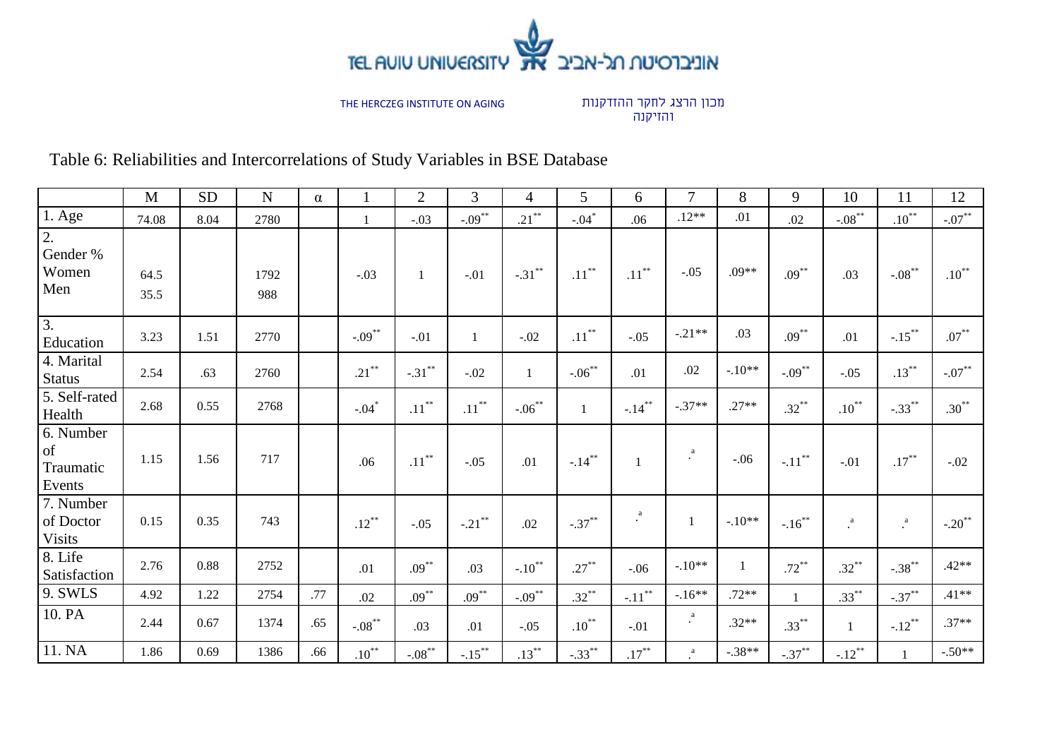

מכון הרצג לחקר ההזדקנות והזיקנה

Table 6: Reliabilities and Intercorrelations of Study Variables in BSE Database

|                                              | M            | <b>SD</b> | $\mathbf N$ | $\alpha$ |            | $\mathbf{2}$         | $\mathfrak{Z}$ | $\overline{4}$       | 5            | 6              | $\overline{7}$        | 8            | 9            | 10                      | 11                          | 12               |
|----------------------------------------------|--------------|-----------|-------------|----------|------------|----------------------|----------------|----------------------|--------------|----------------|-----------------------|--------------|--------------|-------------------------|-----------------------------|------------------|
| $1.$ Age                                     | 74.08        | 8.04      | 2780        |          | 1          | $-.03$               | $-.09***$      | $.21***$             | $-.04*$      | .06            | $.12**$               | .01          | .02          | $-.08***$               | $.10^{**}$                  | $-.07***$        |
| $\overline{2}$ .<br>Gender %<br>Women<br>Men | 64.5<br>35.5 |           | 1792<br>988 |          | $-.03$     | $\mathbf{1}$         | $-.01$         | $-.31***$            | $.11***$     | $.11***$       | $-.05$                | $.09**$      | $.09***$     | .03                     | $-.08***$                   | $.10***$         |
| $\overline{3}$ .<br>Education                | 3.23         | 1.51      | 2770        |          | $-.09***$  | $-.01$               | $\mathbf{1}$   | $-.02$               | $.11***$     | $-.05$         | $-.21**$              | .03          | $.09***$     | .01                     | $-.15***$                   | $.07^{\ast\ast}$ |
| 4. Marital<br><b>Status</b>                  | 2.54         | .63       | 2760        |          | $.21***$   | $-.31***$            | $-.02$         | $\mathbf{1}$         | $-.06***$    | .01            | .02                   | $-.10**$     | $-.09***$    | $-.05$                  | $.13***$                    | $-.07***$        |
| 5. Self-rated<br>Health                      | 2.68         | 0.55      | 2768        |          | $-.04*$    | $.11***$             | $.11***$       | $-.06***$            | $\mathbf{1}$ | $-.14***$      | $-.37**$              | $.27**$      | $.32***$     | $.10***$                | $-.33***$                   | $.30***$         |
| 6. Number<br>of<br>Traumatic<br>Events       | 1.15         | 1.56      | 717         |          | .06        | $.11***$             | $-.05$         | .01                  | $-.14***$    |                | a<br>$\bullet$        | $-.06$       | $-.11***$    | $-.01$                  | $.17***$                    | $-.02$           |
| 7. Number<br>of Doctor<br><b>Visits</b>      | 0.15         | 0.35      | 743         |          | $.12***$   | $-.05$               | $-.21$ **      | .02                  | $-.37***$    | a<br>$\bullet$ | $\mathbf{1}$          | $-.10**$     | $-.16***$    | $\rlap{.}^{\textrm{a}}$ | $\overset{\text{a}}{\cdot}$ | $-.20$ **        |
| 8. Life<br>Satisfaction                      | 2.76         | 0.88      | 2752        |          | .01        | $.09***$             | .03            | $-.10$ <sup>**</sup> | $.27***$     | $-.06$         | $-.10**$              | $\mathbf{1}$ | $.72***$     | $.32***$                | $-.38***$                   | $.42**$          |
| 9. SWLS                                      | 4.92         | 1.22      | 2754        | .77      | .02        | $.09***$             | $.09***$       | $-0.09$              | $.32***$     | $-.11***$      | $-.16**$              | $.72**$      | $\mathbf{1}$ | $.33***$                | $-.37***$                   | $.41**$          |
| 10. PA                                       | 2.44         | 0.67      | 1374        | .65      | $-.08***$  | .03                  | .01            | $-.05$               | $.10***$     | $-.01$         | $\rm{a}$<br>$\bullet$ | $.32**$      | $.33***$     | $\mathbf{1}$            | $-.12$ <sup>**</sup>        | $.37**$          |
| 11. NA                                       | 1.86         | 0.69      | 1386        | .66      | $.10^{**}$ | $-.08$ <sup>**</sup> | $-15$          | $.13***$             | $-.33***$    | $.17***$       | $_{\rm *}^{\rm a}$    | $-.38**$     | $-.37***$    | $-.12$ <sup>**</sup>    |                             | $-.50**$         |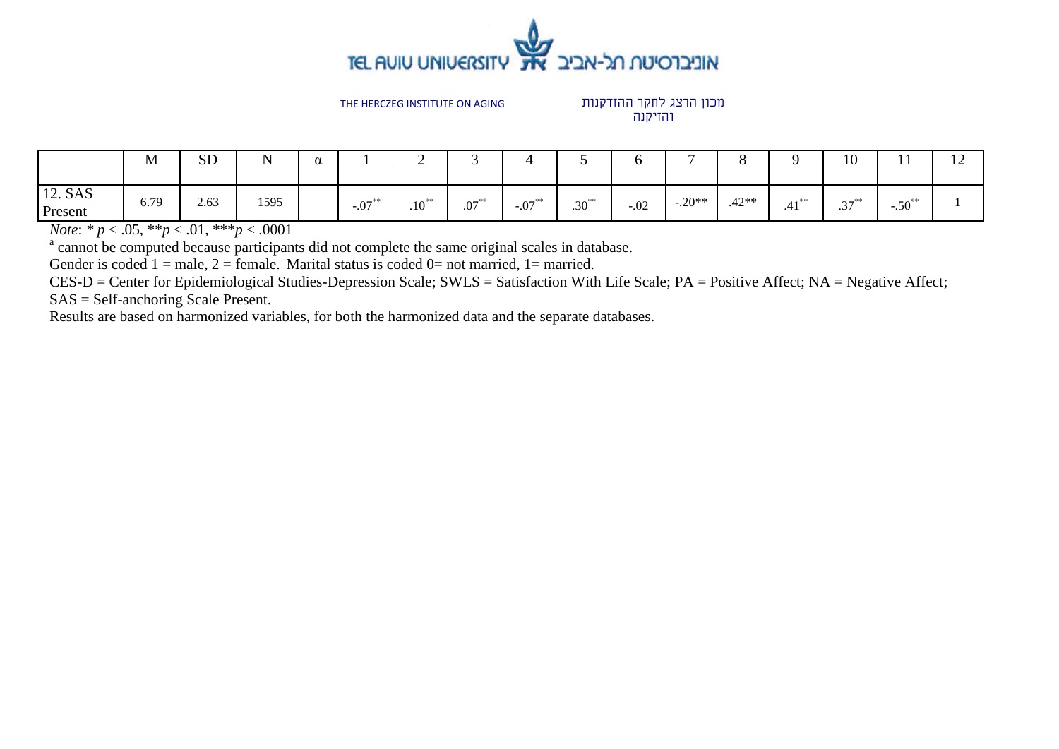

מכון הרצג לחקר ההזדקנות והזיקנה

|                    | M    | <b>SD</b> | ${\bf N}$ | $\alpha$ |           | ◠<br>∼     |          |           |            |        | $\overline{ }$ |         | ⌒              | 10                              | $\mathbf{r}$         | $\sim$<br>$\overline{1}$ |
|--------------------|------|-----------|-----------|----------|-----------|------------|----------|-----------|------------|--------|----------------|---------|----------------|---------------------------------|----------------------|--------------------------|
|                    |      |           |           |          |           |            |          |           |            |        |                |         |                |                                 |                      |                          |
| 12. SAS<br>Present | 6.79 | 2.63      | 1595      |          | $-.07***$ | $.10^{**}$ | $.07***$ | $-.07***$ | $.30^{**}$ | $-.02$ | $-.20**$       | $.42**$ | $4.4 *$<br>41. | $27$ <sup>**</sup><br>$\cdot$ . | $-.50$ <sup>**</sup> |                          |

*Note*: *\* p* < .05, \*\**p* < .01, \*\*\**p* < .0001

<sup>a</sup> cannot be computed because participants did not complete the same original scales in database.

Gender is coded  $1 =$  male,  $2 =$  female. Marital status is coded  $0 =$  not married,  $1 =$  married.

CES-D = Center for Epidemiological Studies-Depression Scale; SWLS = Satisfaction With Life Scale; PA = Positive Affect; NA = Negative Affect;

SAS = Self-anchoring Scale Present.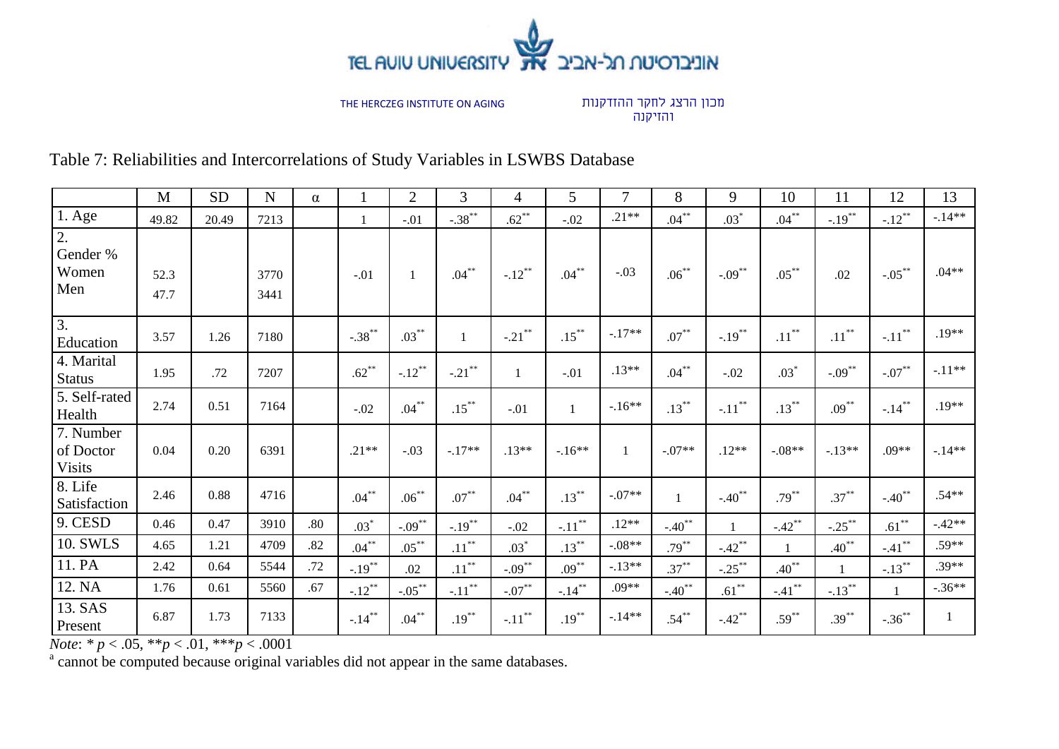

מכון הרצג לחקר ההזדקנות והזיקנה

Table 7: Reliabilities and Intercorrelations of Study Variables in LSWBS Database

|                                         | M            | <b>SD</b> | $\mathbf N$  | $\alpha$ |           | $\overline{2}$ | 3            | $\overline{4}$ | 5         | 7            | 8            | 9                    | 10         | 11         | 12           | 13           |
|-----------------------------------------|--------------|-----------|--------------|----------|-----------|----------------|--------------|----------------|-----------|--------------|--------------|----------------------|------------|------------|--------------|--------------|
| $1. \text{Age}$                         | 49.82        | 20.49     | 7213         |          |           | $-.01$         | $-.38***$    | $.62***$       | $-.02$    | $.21**$      | $.04***$     | $.03*$               | $.04***$   | $-.19***$  | $-.12***$    | $-.14**$     |
| 2.<br>Gender %<br>Women<br>Men          | 52.3<br>47.7 |           | 3770<br>3441 |          | $-.01$    |                | $.04***$     | $-.12***$      | $.04***$  | $-.03$       | $.06***$     | $-.09***$            | $.05***$   | .02        | $-.05***$    | $.04**$      |
| $\overline{3}$ .<br>Education           | 3.57         | 1.26      | 7180         |          | $-.38***$ | $.03***$       | $\mathbf{1}$ | $-.21$ **      | $.15***$  | $-.17**$     | $.07***$     | $-.19***$            | $.11***$   | $.11***$   | $-.11***$    | $.19**$      |
| 4. Marital<br><b>Status</b>             | 1.95         | .72       | 7207         |          | $.62***$  | $-.12***$      | $-.21$ **    | $\mathbf{1}$   | $-.01$    | $.13**$      | $.04***$     | $-.02$               | $.03*$     | $-.09***$  | $-.07***$    | $-.11**$     |
| 5. Self-rated<br>Health                 | 2.74         | 0.51      | 7164         |          | $-.02$    | $.04***$       | $.15***$     | $-.01$         | 1         | $-.16**$     | $.13***$     | $-.11***$            | $.13***$   | $.09***$   | $-.14***$    | $.19**$      |
| 7. Number<br>of Doctor<br><b>Visits</b> | 0.04         | 0.20      | 6391         |          | $.21**$   | $-.03$         | $-.17**$     | $.13**$        | $-.16**$  | $\mathbf{1}$ | $-.07**$     | $.12**$              | $-.08**$   | $-13**$    | $.09**$      | $-.14**$     |
| 8. Life<br>Satisfaction                 | 2.46         | 0.88      | 4716         |          | $.04***$  | $.06***$       | $.07***$     | $.04$ $^{**}$  | $.13***$  | $-.07**$     | $\mathbf{1}$ | $-.40$ <sup>**</sup> | $.79***$   | $.37***$   | $-.40$ **    | $.54**$      |
| 9. CESD                                 | 0.46         | 0.47      | 3910         | .80      | $.03*$    | $-.09***$      | $-19^{**}$   | $-.02$         | $-.11***$ | $.12**$      | $-.40$ **    | $\mathbf{1}$         | $-.42$ **  | $-.25***$  | $.61***$     | $-.42**$     |
| 10. SWLS                                | 4.65         | 1.21      | 4709         | .82      | $.04***$  | $.05***$       | $.11***$     | $.03*$         | $.13***$  | $-.08**$     | $.79***$     | $-.42$ **            |            | $.40^{**}$ | $-.41$ **    | $.59**$      |
| 11. PA                                  | 2.42         | 0.64      | 5544         | .72      | $-.19***$ | .02            | $.11***$     | $-0.09$        | $.09***$  | $-.13**$     | $.37***$     | $-.25***$            | $.40^{**}$ | 1          | $-.13***$    | $.39**$      |
| 12. NA                                  | 1.76         | 0.61      | 5560         | .67      | $-.12***$ | $-.05***$      | $-.11***$    | $-.07***$      | $-.14***$ | $.09**$      | $-.40$ **    | $.61$ **             | $-.41***$  | $-.13***$  | $\mathbf{1}$ | $-.36**$     |
| 13. SAS<br>Present                      | 6.87         | 1.73      | 7133         |          | $-.14***$ | $.04***$       | $.19***$     | $-.11***$      | $.19***$  | $-.14**$     | $.54***$     | $-.42$ **            | $.59***$   | $.39***$   | $-.36***$    | $\mathbf{1}$ |

*Note*:  $* p < .05$ ,  $** p < .01$ ,  $** p < .0001$ <br><sup>a</sup> cannot be computed because original variables did not appear in the same databases.